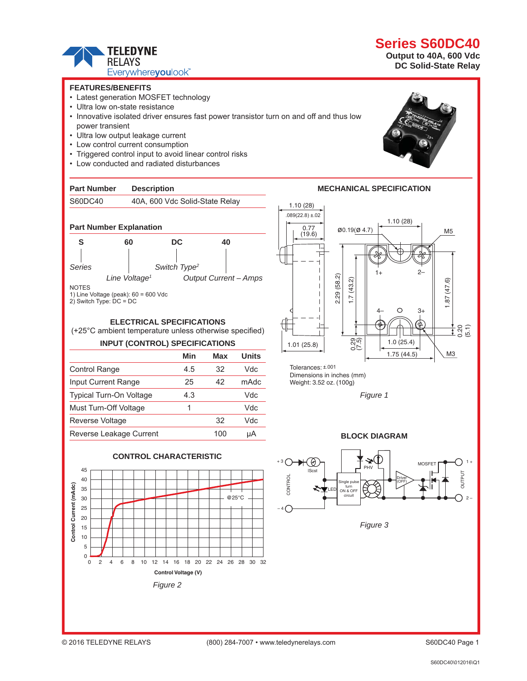

## **FEATURES/BENEFITS**

- Latest generation MOSFET technology
- Ultra low on-state resistance
- Innovative isolated driver ensures fast power transistor turn on and off and thus low power transient
- Ultra low output leakage current
- Low control current consumption
- Triggered control input to avoid linear control risks
- Low conducted and radiated disturbances

## **Part Number Description**

## S60DC40 40A, 600 Vdc Solid-State Relay



1) Line Voltage (peak): 60 = 600 Vdc

2) Switch Type: DC = DC

## **ELECTRICAL SPECIFICATIONS**

(+25°C ambient temperature unless otherwise specified)

## **INPUT (CONTROL) SPECIFICATIONS**

|                            | Min | Max | <b>Units</b> |
|----------------------------|-----|-----|--------------|
| <b>Control Range</b>       | 4.5 | 32  | Vdc          |
| <b>Input Current Range</b> | 25  | 42  | mAdc         |
| Typical Turn-On Voltage    | 4.3 |     | Vdc          |
| Must Turn-Off Voltage      | 1   |     | Vdc          |
| <b>Reverse Voltage</b>     |     | 32  | Vdc          |
| Reverse Leakage Current    |     | 100 | uА           |







**Output to 40A, 600 Vdc DC Solid-State Relay** 





Dimensions in inches (mm) Weight: 3.52 oz. (100g)



## **BLOCK DIAGRAM**



**MECHANICAL SPECIFICATION**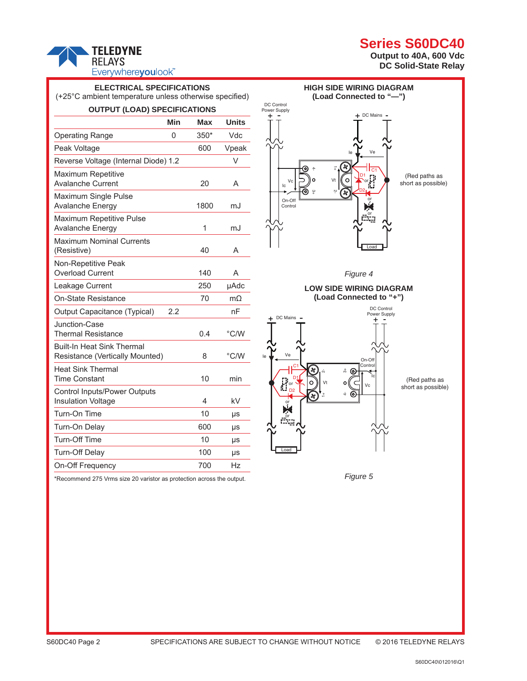# **TELEDYNE RELAYS** Everywhereyoulook

# **Series S60DC40**

**Output to 40A, 600 Vdc DC Solid-State Relay** 

| <b>ELECTRICAL SPECIFICATIONS</b><br>(+25°C ambient temperature unless otherwise specified) |     |      |              |
|--------------------------------------------------------------------------------------------|-----|------|--------------|
| <b>OUTPUT (LOAD) SPECIFICATIONS</b>                                                        |     |      |              |
|                                                                                            | Min | Max  | <b>Units</b> |
| <b>Operating Range</b>                                                                     | 0   | 350* | Vdc          |
| Peak Voltage                                                                               |     | 600  | Vpeak        |
| Reverse Voltage (Internal Diode) 1.2                                                       |     |      | V            |
| <b>Maximum Repetitive</b><br><b>Avalanche Current</b>                                      |     | 20   | A            |
| Maximum Single Pulse<br><b>Avalanche Energy</b>                                            |     | 1800 | mJ           |
| Maximum Repetitive Pulse<br>Avalanche Energy                                               |     | 1    | mJ           |
| <b>Maximum Nominal Currents</b><br>(Resistive)                                             |     | 40   | A            |
| Non-Repetitive Peak<br><b>Overload Current</b>                                             |     | 140  | A            |
| Leakage Current                                                                            |     | 250  | µAdc         |
| On-State Resistance                                                                        |     | 70   | $m\Omega$    |
| Output Capacitance (Typical)                                                               | 2.2 |      | nF           |
| Junction-Case<br><b>Thermal Resistance</b>                                                 |     | 0.4  | °C/W         |
| <b>Built-In Heat Sink Thermal</b><br>Resistance (Vertically Mounted)                       |     | 8    | °C/W         |
| <b>Heat Sink Thermal</b><br>Time Constant                                                  |     | 10   | min          |
| <b>Control Inputs/Power Outputs</b><br><b>Insulation Voltage</b>                           |     | 4    | kV           |
| Turn-On Time                                                                               |     | 10   | μs           |
| Turn-On Delay                                                                              |     | 600  | μs           |
| <b>Turn-Off Time</b>                                                                       |     | 10   | μs           |
| <b>Turn-Off Delay</b>                                                                      |     | 100  | μs           |
| On-Off Frequency                                                                           |     | 700  | Hz           |





*Figure 5*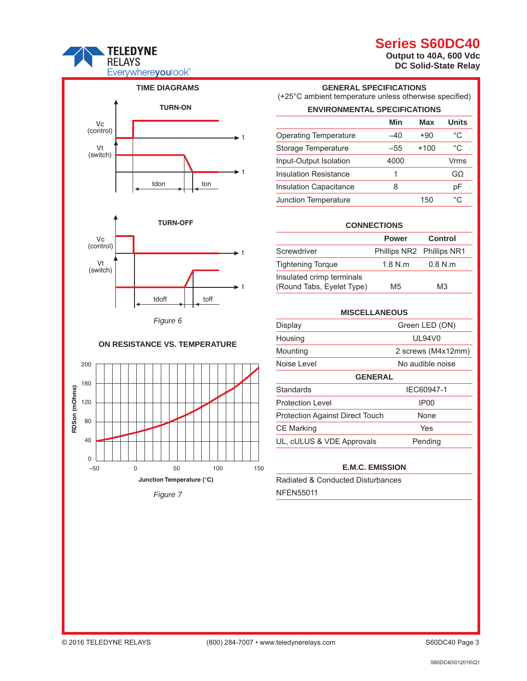# **TELEDYNE RELAYS** Everywhereyoulook<sup>"</sup>



## **ON RESISTANCE VS. TEMPERATURE**



## **GENERAL SPECIFICATIONS** (+25°C ambient temperature unless otherwise specified) **ENVIRONMENTAL SPECIFICATIONS**

**Series S60DC40 Output to 40A, 600 Vdc DC Solid-State Relay** 

| ENVIRONMENTAL SPECIFICATIONS  |      |        |              |
|-------------------------------|------|--------|--------------|
|                               | Min  | Max    | <b>Units</b> |
| <b>Operating Temperature</b>  | -40  | $+90$  | °C           |
| Storage Temperature           | -55  | $+100$ | °C           |
| Input-Output Isolation        | 4000 |        | Vrms         |
| <b>Insulation Resistance</b>  | 1    |        | GΩ           |
| <b>Insulation Capacitance</b> | 8    |        | рF           |
| Junction Temperature          |      | 150    | °C           |

## **CONNECTIONS**

|                                                        | <b>Power</b>              | <b>Control</b> |
|--------------------------------------------------------|---------------------------|----------------|
| Screwdriver                                            | Phillips NR2 Phillips NR1 |                |
| <b>Tightening Torque</b>                               | 1.8 N.m                   | 0.8 N.m        |
| Insulated crimp terminals<br>(Round Tabs, Eyelet Type) | M5                        | MЗ             |

| <b>MISCELLANEOUS</b>                   |                    |  |  |  |
|----------------------------------------|--------------------|--|--|--|
| Display                                | Green LED (ON)     |  |  |  |
| Housing                                | <b>UL94V0</b>      |  |  |  |
| Mounting                               | 2 screws (M4x12mm) |  |  |  |
| Noise Level                            | No audible noise   |  |  |  |
| <b>GENERAL</b>                         |                    |  |  |  |
| Standards                              | IEC60947-1         |  |  |  |
| <b>Protection Level</b>                | IP <sub>00</sub>   |  |  |  |
| <b>Protection Against Direct Touch</b> | None               |  |  |  |
| <b>CE Marking</b>                      | Yes                |  |  |  |
| UL, cULUS & VDE Approvals              | Pending            |  |  |  |

## **E.M.C. EMISSION**

Radiated & Conducted Disturbances NFEN55011